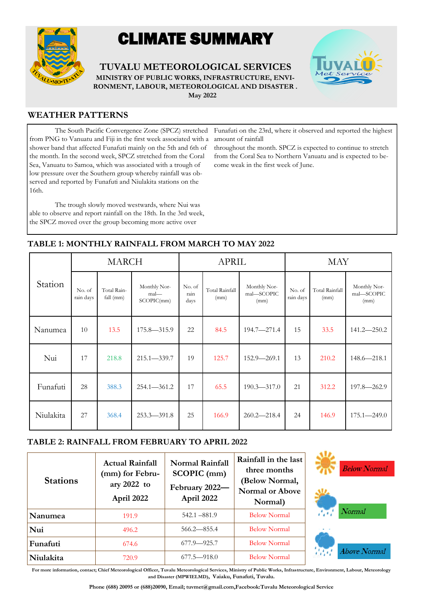

# CLIMATE SUMMARY

**TUVALU METEOROLOGICAL SERVICES MINISTRY OF PUBLIC WORKS, INFRASTRUCTURE, ENVI-RONMENT, LABOUR, METEOROLOGICAL AND DISASTER .** 



 **May 2022**

## **WEATHER PATTERNS**

The South Pacific Convergence Zone (SPCZ) stretched from PNG to Vanuatu and Fiji in the first week associated with a shower band that affected Funafuti mainly on the 5th and 6th of the month. In the second week, SPCZ stretched from the Coral Sea, Vanuatu to Samoa, which was associated with a trough of low pressure over the Southern group whereby rainfall was observed and reported by Funafuti and Niulakita stations on the 16th.

The trough slowly moved westwards, where Nui was able to observe and report rainfall on the 18th. In the 3rd week, the SPCZ moved over the group becoming more active over

Funafuti on the 23rd, where it observed and reported the highest amount of rainfall

throughout the month. SPCZ is expected to continue to stretch from the Coral Sea to Northern Vanuatu and is expected to become weak in the first week of June.

|           |                     | <b>MARCH</b>               |                                       |                        | <b>APRIL</b>           |                                    |                     | <b>MAY</b>             |                                    |
|-----------|---------------------|----------------------------|---------------------------------------|------------------------|------------------------|------------------------------------|---------------------|------------------------|------------------------------------|
| Station   | No. of<br>rain days | Total Rain-<br>fall $(mm)$ | Monthly Nor-<br>$mal$ —<br>SCOPIC(mm) | No. of<br>rain<br>days | Total Rainfall<br>(mm) | Monthly Nor-<br>mal-SCOPIC<br>(mm) | No. of<br>rain days | Total Rainfall<br>(mm) | Monthly Nor-<br>mal-SCOPIC<br>(mm) |
| Nanumea   | 10                  | 13.5                       | $175.8 - 315.9$                       | 22                     | 84.5                   | 194.7-271.4                        | 15                  | 33.5                   | $141.2 - 250.2$                    |
| Nui       | 17                  | 218.8                      | $215.1 - 339.7$                       | 19                     | 125.7                  | $152.9 - 269.1$                    | 13                  | 210.2                  | $148.6 - 218.1$                    |
| Funafuti  | 28                  | 388.3                      | $254.1 - 361.2$                       | 17                     | 65.5                   | $190.3 - 317.0$                    | 21                  | 312.2                  | 197.8-262.9                        |
| Niulakita | 27                  | 368.4                      | $253.3 - 391.8$                       | 25                     | 166.9                  | $260.2 - 218.4$                    | 24                  | 146.9                  | $175.1 - 249.0$                    |

# **TABLE 1: MONTHLY RAINFALL FROM MARCH TO MAY 2022**

## **TABLE 2: RAINFALL FROM FEBRUARY TO APRIL 2022**

| <b>Stations</b> | <b>Actual Rainfall</b><br>(mm) for Febru-<br>ary 2022 to<br>April 2022 | <b>Normal Rainfall</b><br>SCOPIC (mm)<br>February 2022-<br>April 2022 | Rainfall in the last<br>three months<br>(Below Normal,<br><b>Normal or Above</b><br>Normal) |                                      |
|-----------------|------------------------------------------------------------------------|-----------------------------------------------------------------------|---------------------------------------------------------------------------------------------|--------------------------------------|
| Nanumea         | 191.9                                                                  | $542.1 - 881.9$                                                       | <b>Below Normal</b>                                                                         | 47                                   |
| Nui             | 496.2                                                                  | $566.2 - 855.4$                                                       | <b>Below Normal</b>                                                                         | $\mathbf{R} = \mathbf{R} \mathbf{R}$ |
| Funafuti        | 674.6                                                                  | $677.9 - 925.7$                                                       | <b>Below Normal</b>                                                                         |                                      |
| Niulakita       | 720.9                                                                  | $677.5 - 918.0$                                                       | <b>Below Normal</b>                                                                         |                                      |





**For more information, contact; Chief Meteorological Officer, Tuvalu Meteorological Services, Ministry of Public Works, Infrastructure, Environment, Labour, Meteorology and Disaster (MPWIELMD), Vaiaku, Funafuti, Tuvalu.**